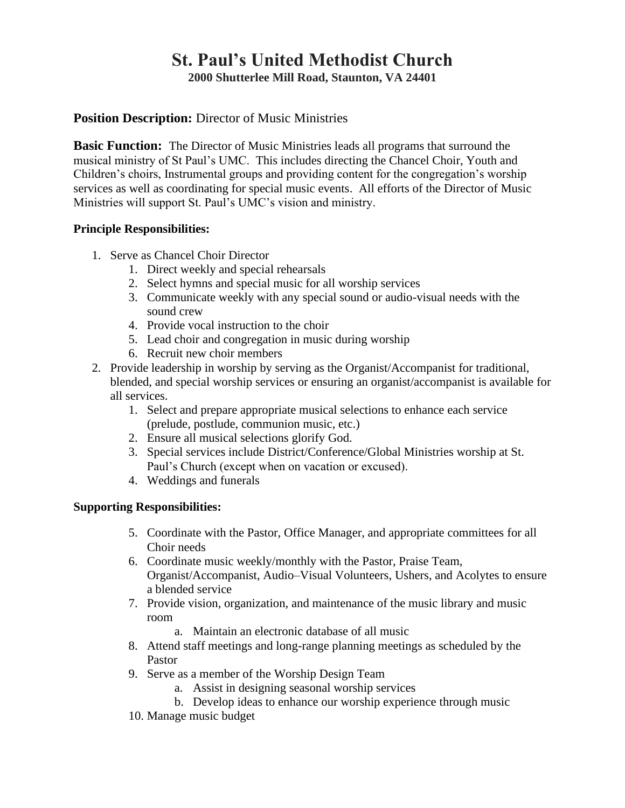# **St. Paul's United Methodist Church 2000 Shutterlee Mill Road, Staunton, VA 24401**

# **Position Description:** Director of Music Ministries

**Basic Function:** The Director of Music Ministries leads all programs that surround the musical ministry of St Paul's UMC. This includes directing the Chancel Choir, Youth and Children's choirs, Instrumental groups and providing content for the congregation's worship services as well as coordinating for special music events. All efforts of the Director of Music Ministries will support St. Paul's UMC's vision and ministry.

### **Principle Responsibilities:**

- 1. Serve as Chancel Choir Director
	- 1. Direct weekly and special rehearsals
	- 2. Select hymns and special music for all worship services
	- 3. Communicate weekly with any special sound or audio-visual needs with the sound crew
	- 4. Provide vocal instruction to the choir
	- 5. Lead choir and congregation in music during worship
	- 6. Recruit new choir members
- 2. Provide leadership in worship by serving as the Organist/Accompanist for traditional, blended, and special worship services or ensuring an organist/accompanist is available for all services.
	- 1. Select and prepare appropriate musical selections to enhance each service (prelude, postlude, communion music, etc.)
	- 2. Ensure all musical selections glorify God.
	- 3. Special services include District/Conference/Global Ministries worship at St. Paul's Church (except when on vacation or excused).
	- 4. Weddings and funerals

#### **Supporting Responsibilities:**

- 5. Coordinate with the Pastor, Office Manager, and appropriate committees for all Choir needs
- 6. Coordinate music weekly/monthly with the Pastor, Praise Team, Organist/Accompanist, Audio–Visual Volunteers, Ushers, and Acolytes to ensure a blended service
- 7. Provide vision, organization, and maintenance of the music library and music room
	- a. Maintain an electronic database of all music
- 8. Attend staff meetings and long-range planning meetings as scheduled by the Pastor
- 9. Serve as a member of the Worship Design Team
	- a. Assist in designing seasonal worship services
	- b. Develop ideas to enhance our worship experience through music
- 10. Manage music budget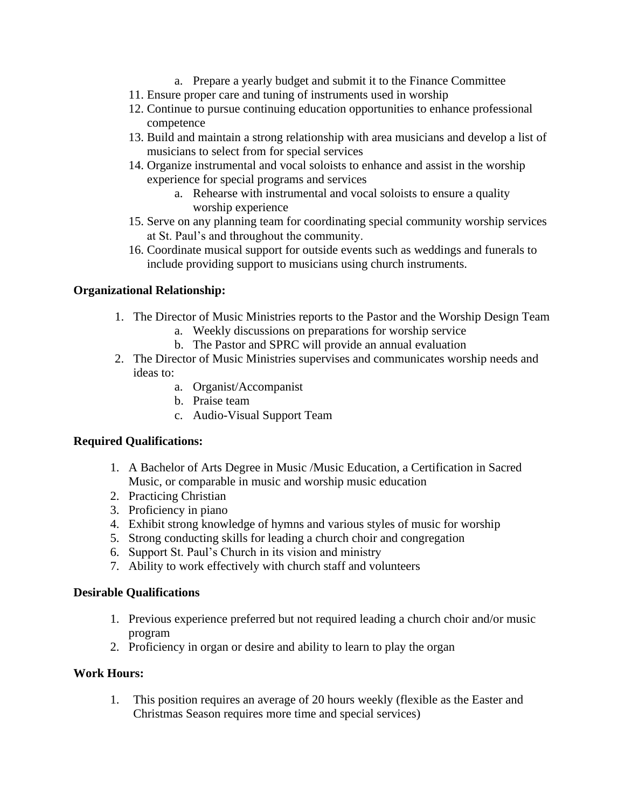- a. Prepare a yearly budget and submit it to the Finance Committee
- 11. Ensure proper care and tuning of instruments used in worship
- 12. Continue to pursue continuing education opportunities to enhance professional competence
- 13. Build and maintain a strong relationship with area musicians and develop a list of musicians to select from for special services
- 14. Organize instrumental and vocal soloists to enhance and assist in the worship experience for special programs and services
	- a. Rehearse with instrumental and vocal soloists to ensure a quality worship experience
- 15. Serve on any planning team for coordinating special community worship services at St. Paul's and throughout the community.
- 16. Coordinate musical support for outside events such as weddings and funerals to include providing support to musicians using church instruments.

### **Organizational Relationship:**

- 1. The Director of Music Ministries reports to the Pastor and the Worship Design Team
	- a. Weekly discussions on preparations for worship service
	- b. The Pastor and SPRC will provide an annual evaluation
- 2. The Director of Music Ministries supervises and communicates worship needs and ideas to:
	- a. Organist/Accompanist
	- b. Praise team
	- c. Audio-Visual Support Team

#### **Required Qualifications:**

- 1. A Bachelor of Arts Degree in Music /Music Education, a Certification in Sacred Music, or comparable in music and worship music education
- 2. Practicing Christian
- 3. Proficiency in piano
- 4. Exhibit strong knowledge of hymns and various styles of music for worship
- 5. Strong conducting skills for leading a church choir and congregation
- 6. Support St. Paul's Church in its vision and ministry
- 7. Ability to work effectively with church staff and volunteers

#### **Desirable Qualifications**

- 1. Previous experience preferred but not required leading a church choir and/or music program
- 2. Proficiency in organ or desire and ability to learn to play the organ

#### **Work Hours:**

1. This position requires an average of 20 hours weekly (flexible as the Easter and Christmas Season requires more time and special services)